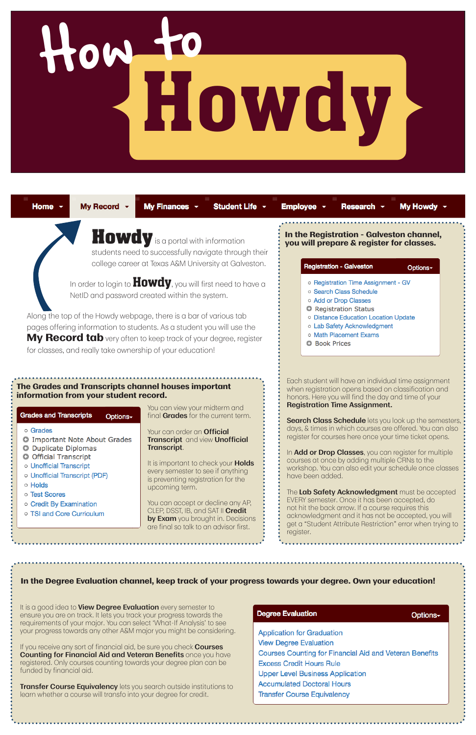# **Howdy**

Home -

My Record  $\sim$ 

My Finances ~ Student Life ~ Employee -

My Howdy Research -

Options-

**Howdy** is a portal with information students need to successfully navigate through their college career at Texas A&M University at Galveston.

In order to login to  $Howdy$ , you will first need to have a NetID and password created within the system.

Along the top of the Howdy webpage, there is a bar of various tab pages offering information to students. As a student you will use the **My Record tab** very often to keep track of your degree, register for classes, and really take ownership of your education!

> **Search Class Schedule** lets you look up the semesters, days, & times in which courses are offered. You can also register for courses here once your time ticket opens.

Each student will have an individual time assignment when registration opens based on classification and honors. Here you will find the day and time of your **Registration Time Assignment.**

In **Add or Drop Classes**, you can register for multiple courses at once by adding multiple CRNs to the workshop. You can also edit your schedule once classes have been added.

The **Lab Safety Acknowledgment** must be accepted EVERY semester. Once it has been accepted, do not hit the back arrow. If a course requires this acknowledgment and it has not be accepted, you will get a "Student Attribute Restriction" error when trying to register.





**Transfer Course Equivalency** lets you search outside institutions to learn whether a course will transfo into your degree for credit.

| <b>Degree Evaluation</b>                                       | Options- |
|----------------------------------------------------------------|----------|
| <b>Application for Graduation</b>                              |          |
| <b>View Degree Evaluation</b>                                  |          |
| <b>Courses Counting for Financial Aid and Veteran Benefits</b> |          |
| <b>Excess Credit Hours Rule</b>                                |          |
| <b>Upper Level Business Application</b>                        |          |
| <b>Accumulated Doctoral Hours</b>                              |          |
| <b>Transfer Course Equivalency</b>                             |          |

**In the Registration - Galveston channel, you will prepare & register for classes.**

### **Registration - Galveston**

- o Registration Time Assignment GV
- o Search Class Schedule
- o Add or Drop Classes
- **O** Registration Status
- o Distance Education Location Update
- o Lab Safety Acknowledgment
- o Math Placement Exams
- **O** Book Prices

### **The Grades and Transcripts channel houses important information from your student record.**

### **Grades and Transcripts** Options-

- o Grades
- **O** Important Note About Grades
- **O** Duplicate Diplomas
- **O** Official Transcript
- o Unofficial Transcript
- o Unofficial Transcript (PDF)
- o Holds
- o Test Scores
- o Credit By Examination
- o TSI and Core Curriculum

You can view your midterm and final **Grades** for the current term.

Your can order an **Official Transcript** and view **Unofficial Transcript**.

It is important to check your **Holds** every semester to see if anything is preventing registration for the upcoming term.

You can accept or decline any AP, CLEP, DSST, IB, and SAT II **Credit by Exam** you brought in. Decisions are final so talk to an advisor first.

### **In the Degree Evaluation channel, keep track of your progress towards your degree. Own your education!**

It is a good idea to **View Degree Evaluation** every semester to ensure you are on track. It lets you track your progress towards the requirements of your major. You can select 'What-If Analysis' to see your progress towards any other A&M major you might be considering.

If you receive any sort of financial aid, be sure you check **Courses Counting for Financial Aid and Veteran Benefits** once you have registered. Only courses counting towards your degree plan can be funded by financial aid.